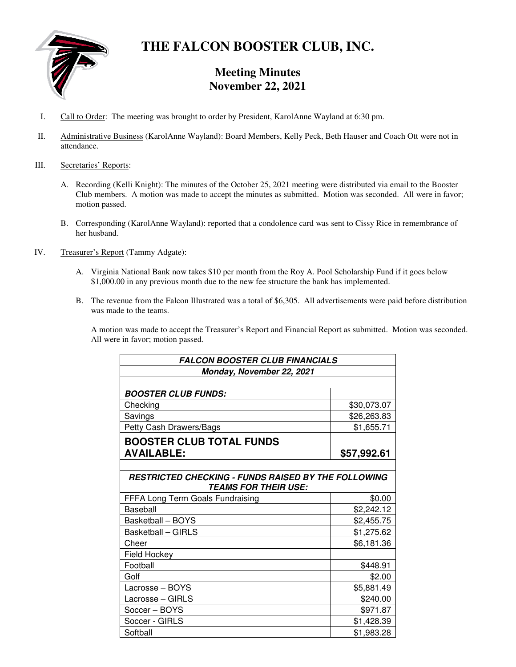

# **THE FALCON BOOSTER CLUB, INC.**

# **Meeting Minutes November 22, 2021**

- I. Call to Order: The meeting was brought to order by President, KarolAnne Wayland at 6:30 pm.
- II. Administrative Business (KarolAnne Wayland): Board Members, Kelly Peck, Beth Hauser and Coach Ott were not in attendance.
- III. Secretaries' Reports:
	- A. Recording (Kelli Knight): The minutes of the October 25, 2021 meeting were distributed via email to the Booster Club members. A motion was made to accept the minutes as submitted. Motion was seconded. All were in favor; motion passed.
	- B. Corresponding (KarolAnne Wayland): reported that a condolence card was sent to Cissy Rice in remembrance of her husband.
- IV. Treasurer's Report (Tammy Adgate):
	- A. Virginia National Bank now takes \$10 per month from the Roy A. Pool Scholarship Fund if it goes below \$1,000.00 in any previous month due to the new fee structure the bank has implemented.
	- B. The revenue from the Falcon Illustrated was a total of \$6,305. All advertisements were paid before distribution was made to the teams.

A motion was made to accept the Treasurer's Report and Financial Report as submitted. Motion was seconded. All were in favor; motion passed.

| <b>FALCON BOOSTER CLUB FINANCIALS</b>                                                     |             |
|-------------------------------------------------------------------------------------------|-------------|
| Monday, November 22, 2021                                                                 |             |
|                                                                                           |             |
| <b>BOOSTER CLUB FUNDS:</b>                                                                |             |
| Checking                                                                                  | \$30,073.07 |
| Savings                                                                                   | \$26,263.83 |
| Petty Cash Drawers/Bags                                                                   | \$1,655.71  |
| <b>BOOSTER CLUB TOTAL FUNDS</b>                                                           |             |
| <b>AVAILABLE:</b>                                                                         | \$57,992.61 |
|                                                                                           |             |
| <b>RESTRICTED CHECKING - FUNDS RAISED BY THE FOLLOWING</b><br><b>TEAMS FOR THEIR USE:</b> |             |
| FFFA Long Term Goals Fundraising                                                          | \$0.00      |
| Baseball                                                                                  | \$2,242.12  |
| Basketball - BOYS                                                                         | \$2,455.75  |
| <b>Basketball - GIRLS</b>                                                                 | \$1,275.62  |
| Cheer                                                                                     | \$6,181.36  |
| Field Hockey                                                                              |             |
| Football                                                                                  | \$448.91    |
| Golf                                                                                      | \$2.00      |
| Lacrosse - BOYS                                                                           | \$5,881.49  |
| Lacrosse - GIRLS                                                                          | \$240.00    |
| Soccer - BOYS                                                                             | \$971.87    |
| Soccer - GIRLS                                                                            | \$1,428.39  |
| Softball                                                                                  | \$1,983.28  |